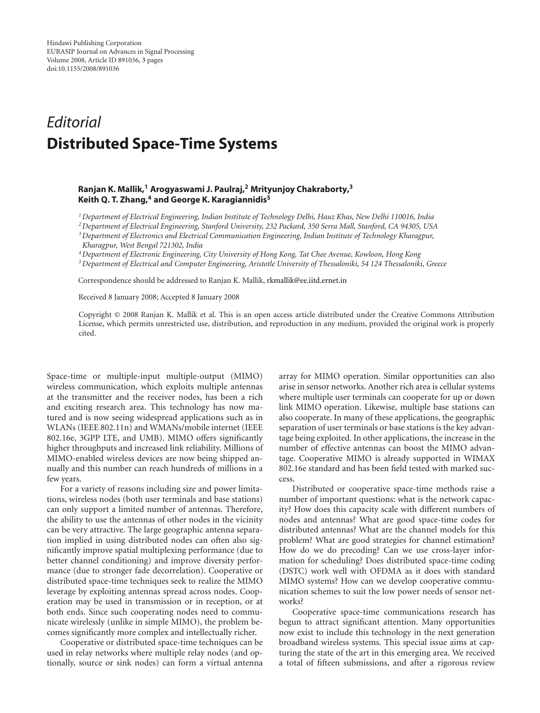## *Editorial* **Distributed Space-Time Systems**

## **Ranjan K. Mallik,1 Arogyaswami J. Paulraj,2 Mrityunjoy Chakraborty,3 Keith Q. T. Zhang,4 and George K. Karagiannidis5**

*1Department of Electrical Engineering, Indian Institute of Technology Delhi, Hauz Khas, New Delhi 110016, India*

*2Department of Electrical Engineering, Stanford University, 232 Packard, 350 Serra Mall, Stanford, CA 94305, USA*

*3Department of Electronics and Electrical Communication Engineering, Indian Institute of Technology Kharagpur, Kharagpur, West Bengal 721302, India*

*4Department of Electronic Engineering, City University of Hong Kong, Tat Chee Avenue, Kowloon, Hong Kong*

*5Department of Electrical and Computer Engineering, Aristotle University of Thessaloniki, 54 124 Thessaloniki, Greece*

Correspondence should be addressed to Ranjan K. Mallik, rkmallik@ee.iitd.ernet.in

Received 8 January 2008; Accepted 8 January 2008

Copyright © 2008 Ranjan K. Mallik et al. This is an open access article distributed under the Creative Commons Attribution License, which permits unrestricted use, distribution, and reproduction in any medium, provided the original work is properly cited.

Space-time or multiple-input multiple-output (MIMO) wireless communication, which exploits multiple antennas at the transmitter and the receiver nodes, has been a rich and exciting research area. This technology has now matured and is now seeing widespread applications such as in WLANs (IEEE 802.11n) and WMANs/mobile internet (IEEE 802.16e, 3GPP LTE, and UMB). MIMO offers significantly higher throughputs and increased link reliability. Millions of MIMO-enabled wireless devices are now being shipped annually and this number can reach hundreds of millions in a few years.

For a variety of reasons including size and power limitations, wireless nodes (both user terminals and base stations) can only support a limited number of antennas. Therefore, the ability to use the antennas of other nodes in the vicinity can be very attractive. The large geographic antenna separation implied in using distributed nodes can often also significantly improve spatial multiplexing performance (due to better channel conditioning) and improve diversity performance (due to stronger fade decorrelation). Cooperative or distributed space-time techniques seek to realize the MIMO leverage by exploiting antennas spread across nodes. Cooperation may be used in transmission or in reception, or at both ends. Since such cooperating nodes need to communicate wirelessly (unlike in simple MIMO), the problem becomes significantly more complex and intellectually richer.

Cooperative or distributed space-time techniques can be used in relay networks where multiple relay nodes (and optionally, source or sink nodes) can form a virtual antenna

array for MIMO operation. Similar opportunities can also arise in sensor networks. Another rich area is cellular systems where multiple user terminals can cooperate for up or down link MIMO operation. Likewise, multiple base stations can also cooperate. In many of these applications, the geographic separation of user terminals or base stations is the key advantage being exploited. In other applications, the increase in the number of effective antennas can boost the MIMO advantage. Cooperative MIMO is already supported in WIMAX 802.16e standard and has been field tested with marked success.

Distributed or cooperative space-time methods raise a number of important questions: what is the network capacity? How does this capacity scale with different numbers of nodes and antennas? What are good space-time codes for distributed antennas? What are the channel models for this problem? What are good strategies for channel estimation? How do we do precoding? Can we use cross-layer information for scheduling? Does distributed space-time coding (DSTC) work well with OFDMA as it does with standard MIMO systems? How can we develop cooperative communication schemes to suit the low power needs of sensor networks?

Cooperative space-time communications research has begun to attract significant attention. Many opportunities now exist to include this technology in the next generation broadband wireless systems. This special issue aims at capturing the state of the art in this emerging area. We received a total of fifteen submissions, and after a rigorous review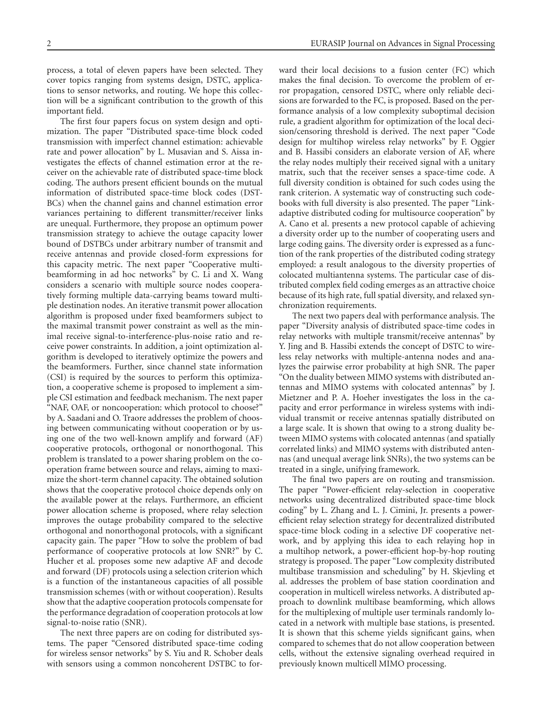process, a total of eleven papers have been selected. They cover topics ranging from systems design, DSTC, applications to sensor networks, and routing. We hope this collection will be a significant contribution to the growth of this important field.

The first four papers focus on system design and optimization. The paper "Distributed space-time block coded transmission with imperfect channel estimation: achievable rate and power allocation" by L. Musavian and S. Aissa investigates the effects of channel estimation error at the receiver on the achievable rate of distributed space-time block coding. The authors present efficient bounds on the mutual information of distributed space-time block codes (DST-BCs) when the channel gains and channel estimation error variances pertaining to different transmitter/receiver links are unequal. Furthermore, they propose an optimum power transmission strategy to achieve the outage capacity lower bound of DSTBCs under arbitrary number of transmit and receive antennas and provide closed-form expressions for this capacity metric. The next paper "Cooperative multibeamforming in ad hoc networks" by C. Li and X. Wang considers a scenario with multiple source nodes cooperatively forming multiple data-carrying beams toward multiple destination nodes. An iterative transmit power allocation algorithm is proposed under fixed beamformers subject to the maximal transmit power constraint as well as the minimal receive signal-to-interference-plus-noise ratio and receive power constraints. In addition, a joint optimization algorithm is developed to iteratively optimize the powers and the beamformers. Further, since channel state information (CSI) is required by the sources to perform this optimization, a cooperative scheme is proposed to implement a simple CSI estimation and feedback mechanism. The next paper "NAF, OAF, or noncooperation: which protocol to choose?" by A. Saadani and O. Traore addresses the problem of choosing between communicating without cooperation or by using one of the two well-known amplify and forward (AF) cooperative protocols, orthogonal or nonorthogonal. This problem is translated to a power sharing problem on the cooperation frame between source and relays, aiming to maximize the short-term channel capacity. The obtained solution shows that the cooperative protocol choice depends only on the available power at the relays. Furthermore, an efficient power allocation scheme is proposed, where relay selection improves the outage probability compared to the selective orthogonal and nonorthogonal protocols, with a significant capacity gain. The paper "How to solve the problem of bad performance of cooperative protocols at low SNR?" by C. Hucher et al. proposes some new adaptive AF and decode and forward (DF) protocols using a selection criterion which is a function of the instantaneous capacities of all possible transmission schemes (with or without cooperation). Results show that the adaptive cooperation protocols compensate for the performance degradation of cooperation protocols at low signal-to-noise ratio (SNR).

The next three papers are on coding for distributed systems. The paper "Censored distributed space-time coding for wireless sensor networks" by S. Yiu and R. Schober deals with sensors using a common noncoherent DSTBC to forward their local decisions to a fusion center (FC) which makes the final decision. To overcome the problem of error propagation, censored DSTC, where only reliable decisions are forwarded to the FC, is proposed. Based on the performance analysis of a low complexity suboptimal decision rule, a gradient algorithm for optimization of the local decision/censoring threshold is derived. The next paper "Code design for multihop wireless relay networks" by F. Oggier and B. Hassibi considers an elaborate version of AF, where the relay nodes multiply their received signal with a unitary matrix, such that the receiver senses a space-time code. A full diversity condition is obtained for such codes using the rank criterion. A systematic way of constructing such codebooks with full diversity is also presented. The paper "Linkadaptive distributed coding for multisource cooperation" by A. Cano et al. presents a new protocol capable of achieving a diversity order up to the number of cooperating users and large coding gains. The diversity order is expressed as a function of the rank properties of the distributed coding strategy employed: a result analogous to the diversity properties of colocated multiantenna systems. The particular case of distributed complex field coding emerges as an attractive choice because of its high rate, full spatial diversity, and relaxed synchronization requirements.

The next two papers deal with performance analysis. The paper "Diversity analysis of distributed space-time codes in relay networks with multiple transmit/receive antennas" by Y. Jing and B. Hassibi extends the concept of DSTC to wireless relay networks with multiple-antenna nodes and analyzes the pairwise error probability at high SNR. The paper "On the duality between MIMO systems with distributed antennas and MIMO systems with colocated antennas" by J. Mietzner and P. A. Hoeher investigates the loss in the capacity and error performance in wireless systems with individual transmit or receive antennas spatially distributed on a large scale. It is shown that owing to a strong duality between MIMO systems with colocated antennas (and spatially correlated links) and MIMO systems with distributed antennas (and unequal average link SNRs), the two systems can be treated in a single, unifying framework.

The final two papers are on routing and transmission. The paper "Power-efficient relay-selection in cooperative networks using decentralized distributed space-time block coding" by L. Zhang and L. J. Cimini, Jr. presents a powerefficient relay selection strategy for decentralized distributed space-time block coding in a selective DF cooperative network, and by applying this idea to each relaying hop in a multihop network, a power-efficient hop-by-hop routing strategy is proposed. The paper "Low complexity distributed multibase transmission and scheduling" by H. Skjevling et al. addresses the problem of base station coordination and cooperation in multicell wireless networks. A distributed approach to downlink multibase beamforming, which allows for the multiplexing of multiple user terminals randomly located in a network with multiple base stations, is presented. It is shown that this scheme yields significant gains, when compared to schemes that do not allow cooperation between cells, without the extensive signaling overhead required in previously known multicell MIMO processing.